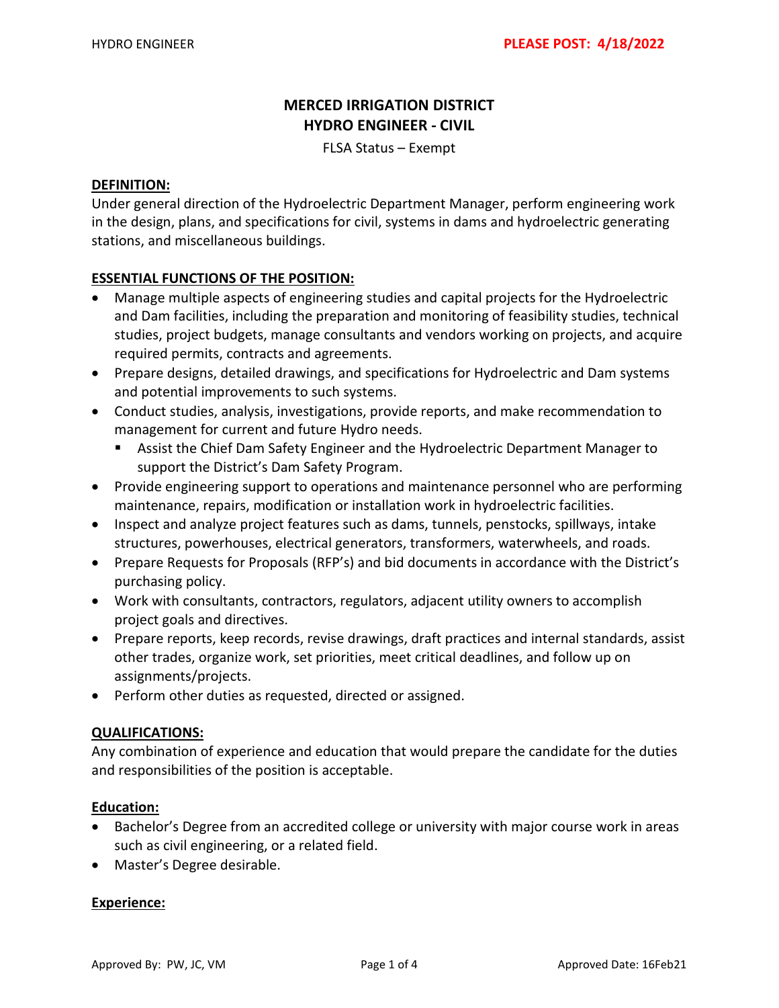### **MERCED IRRIGATION DISTRICT HYDRO ENGINEER - CIVIL**

FLSA Status – Exempt

#### **DEFINITION:**

Under general direction of the Hydroelectric Department Manager, perform engineering work in the design, plans, and specifications for civil, systems in dams and hydroelectric generating stations, and miscellaneous buildings.

#### **ESSENTIAL FUNCTIONS OF THE POSITION:**

- Manage multiple aspects of engineering studies and capital projects for the Hydroelectric and Dam facilities, including the preparation and monitoring of feasibility studies, technical studies, project budgets, manage consultants and vendors working on projects, and acquire required permits, contracts and agreements.
- Prepare designs, detailed drawings, and specifications for Hydroelectric and Dam systems and potential improvements to such systems.
- Conduct studies, analysis, investigations, provide reports, and make recommendation to management for current and future Hydro needs.
	- Assist the Chief Dam Safety Engineer and the Hydroelectric Department Manager to support the District's Dam Safety Program.
- Provide engineering support to operations and maintenance personnel who are performing maintenance, repairs, modification or installation work in hydroelectric facilities.
- Inspect and analyze project features such as dams, tunnels, penstocks, spillways, intake structures, powerhouses, electrical generators, transformers, waterwheels, and roads.
- Prepare Requests for Proposals (RFP's) and bid documents in accordance with the District's purchasing policy.
- Work with consultants, contractors, regulators, adjacent utility owners to accomplish project goals and directives.
- Prepare reports, keep records, revise drawings, draft practices and internal standards, assist other trades, organize work, set priorities, meet critical deadlines, and follow up on assignments/projects.
- Perform other duties as requested, directed or assigned.

#### **QUALIFICATIONS:**

Any combination of experience and education that would prepare the candidate for the duties and responsibilities of the position is acceptable.

#### **Education:**

- Bachelor's Degree from an accredited college or university with major course work in areas such as civil engineering, or a related field.
- Master's Degree desirable.

#### **Experience:**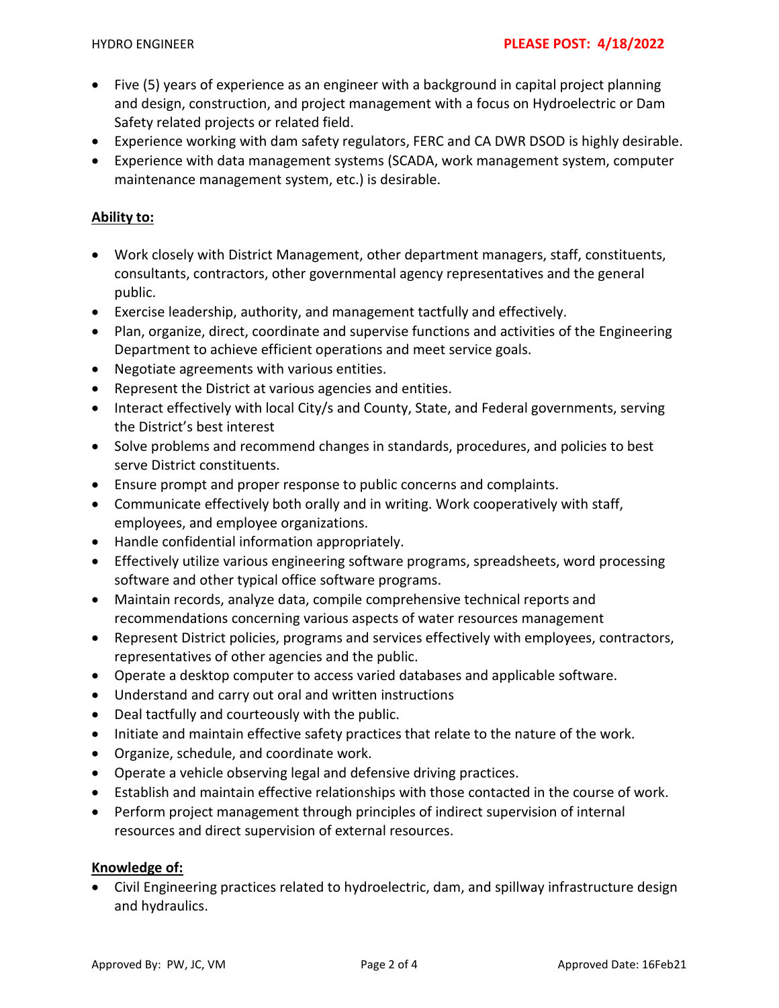- Five (5) years of experience as an engineer with a background in capital project planning and design, construction, and project management with a focus on Hydroelectric or Dam Safety related projects or related field.
- Experience working with dam safety regulators, FERC and CA DWR DSOD is highly desirable.
- Experience with data management systems (SCADA, work management system, computer maintenance management system, etc.) is desirable.

### **Ability to:**

- Work closely with District Management, other department managers, staff, constituents, consultants, contractors, other governmental agency representatives and the general public.
- Exercise leadership, authority, and management tactfully and effectively.
- Plan, organize, direct, coordinate and supervise functions and activities of the Engineering Department to achieve efficient operations and meet service goals.
- Negotiate agreements with various entities.
- Represent the District at various agencies and entities.
- Interact effectively with local City/s and County, State, and Federal governments, serving the District's best interest
- Solve problems and recommend changes in standards, procedures, and policies to best serve District constituents.
- Ensure prompt and proper response to public concerns and complaints.
- Communicate effectively both orally and in writing. Work cooperatively with staff, employees, and employee organizations.
- Handle confidential information appropriately.
- Effectively utilize various engineering software programs, spreadsheets, word processing software and other typical office software programs.
- Maintain records, analyze data, compile comprehensive technical reports and recommendations concerning various aspects of water resources management
- Represent District policies, programs and services effectively with employees, contractors, representatives of other agencies and the public.
- Operate a desktop computer to access varied databases and applicable software.
- Understand and carry out oral and written instructions
- Deal tactfully and courteously with the public.
- Initiate and maintain effective safety practices that relate to the nature of the work.
- Organize, schedule, and coordinate work.
- Operate a vehicle observing legal and defensive driving practices.
- Establish and maintain effective relationships with those contacted in the course of work.
- Perform project management through principles of indirect supervision of internal resources and direct supervision of external resources.

#### **Knowledge of:**

• Civil Engineering practices related to hydroelectric, dam, and spillway infrastructure design and hydraulics.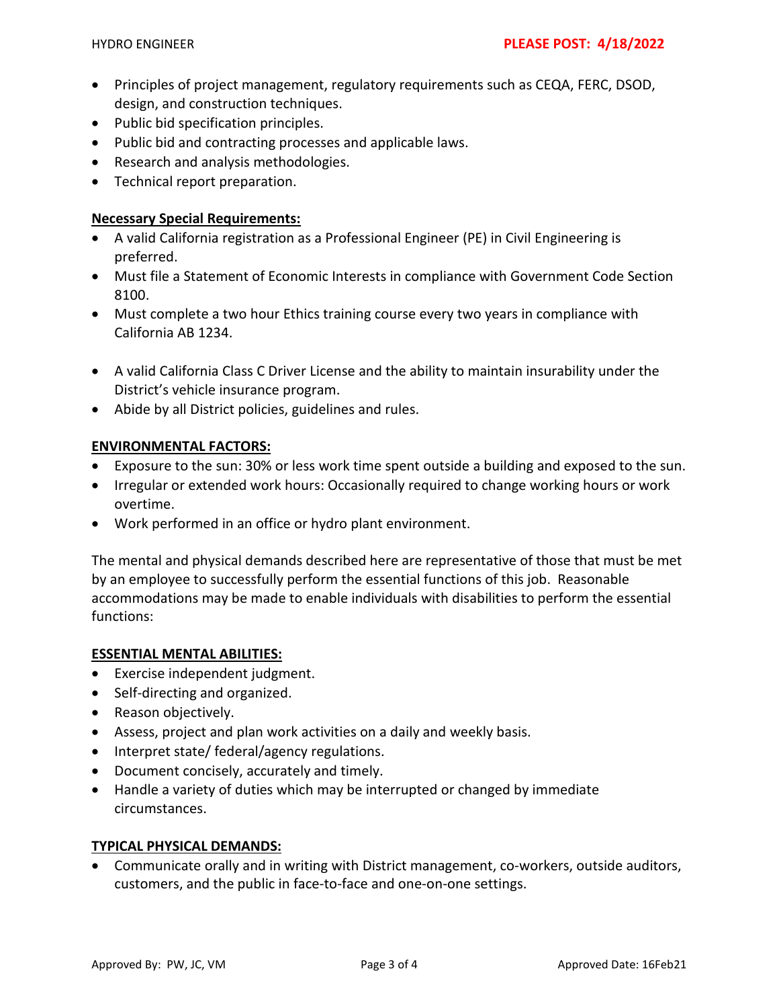- Principles of project management, regulatory requirements such as CEQA, FERC, DSOD, design, and construction techniques.
- Public bid specification principles.
- Public bid and contracting processes and applicable laws.
- Research and analysis methodologies.
- Technical report preparation.

#### **Necessary Special Requirements:**

- A valid California registration as a Professional Engineer (PE) in Civil Engineering is preferred.
- Must file a Statement of Economic Interests in compliance with Government Code Section 8100.
- Must complete a two hour Ethics training course every two years in compliance with California AB 1234.
- A valid California Class C Driver License and the ability to maintain insurability under the District's vehicle insurance program.
- Abide by all District policies, guidelines and rules.

#### **ENVIRONMENTAL FACTORS:**

- Exposure to the sun: 30% or less work time spent outside a building and exposed to the sun.
- Irregular or extended work hours: Occasionally required to change working hours or work overtime.
- Work performed in an office or hydro plant environment.

The mental and physical demands described here are representative of those that must be met by an employee to successfully perform the essential functions of this job. Reasonable accommodations may be made to enable individuals with disabilities to perform the essential functions:

#### **ESSENTIAL MENTAL ABILITIES:**

- Exercise independent judgment.
- Self-directing and organized.
- Reason objectively.
- Assess, project and plan work activities on a daily and weekly basis.
- Interpret state/ federal/agency regulations.
- Document concisely, accurately and timely.
- Handle a variety of duties which may be interrupted or changed by immediate circumstances.

#### **TYPICAL PHYSICAL DEMANDS:**

• Communicate orally and in writing with District management, co-workers, outside auditors, customers, and the public in face-to-face and one-on-one settings.